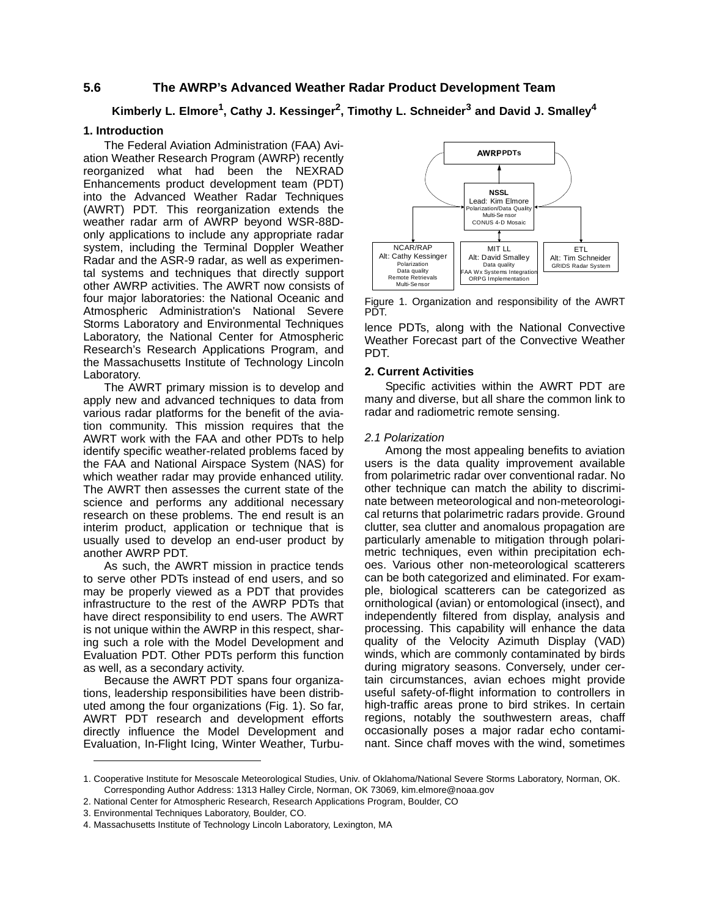## **5.6 The AWRP's Advanced Weather Radar Product Development Team**

# Kimberly L. Elmore<sup>1</sup>, Cathy J. Kessinger<sup>2</sup>, Timothy L. Schneider<sup>3</sup> and David J. Smalley<sup>4</sup>

#### **1. Introduction**

The Federal Aviation Administration (FAA) Aviation Weather Research Program (AWRP) recently reorganized what had been the NEXRAD Enhancements product development team (PDT) into the Advanced Weather Radar Techniques (AWRT) PDT. This reorganization extends the weather radar arm of AWRP beyond WSR-88Donly applications to include any appropriate radar system, including the Terminal Doppler Weather Radar and the ASR-9 radar, as well as experimental systems and techniques that directly support other AWRP activities. The AWRT now consists of four major laboratories: the National Oceanic and Atmospheric Administration's National Severe Storms Laboratory and Environmental Techniques Laboratory, the National Center for Atmospheric Research's Research Applications Program, and the Massachusetts Institute of Technology Lincoln Laboratory.

The AWRT primary mission is to develop and apply new and advanced techniques to data from various radar platforms for the benefit of the aviation community. This mission requires that the AWRT work with the FAA and other PDTs to help identify specific weather-related problems faced by the FAA and National Airspace System (NAS) for which weather radar may provide enhanced utility. The AWRT then assesses the current state of the science and performs any additional necessary research on these problems. The end result is an interim product, application or technique that is usually used to develop an end-user product by another AWRP PDT.

As such, the AWRT mission in practice tends to serve other PDTs instead of end users, and so may be properly viewed as a PDT that provides infrastructure to the rest of the AWRP PDTs that have direct responsibility to end users. The AWRT is not unique within the AWRP in this respect, sharing such a role with the Model Development and Evaluation PDT. Other PDTs perform this function as well, as a secondary activity.

Because the AWRT PDT spans four organizations, leadership responsibilities have been distributed among the four organizations (Fig. [1](#page-0-0)). So far, AWRT PDT research and development efforts directly influence the Model Development and Evaluation, In-Flight Icing, Winter Weather, Turbu-



<span id="page-0-0"></span>Figure 1. Organization and responsibility of the AWRT PDT.

lence PDTs, along with the National Convective Weather Forecast part of the Convective Weather **PDT.** 

#### **2. Current Activities**

Specific activities within the AWRT PDT are many and diverse, but all share the common link to radar and radiometric remote sensing.

#### *2.1 Polarization*

Among the most appealing benefits to aviation users is the data quality improvement available from polarimetric radar over conventional radar. No other technique can match the ability to discriminate between meteorological and non-meteorological returns that polarimetric radars provide. Ground clutter, sea clutter and anomalous propagation are particularly amenable to mitigation through polarimetric techniques, even within precipitation echoes. Various other non-meteorological scatterers can be both categorized and eliminated. For example, biological scatterers can be categorized as ornithological (avian) or entomological (insect), and independently filtered from display, analysis and processing. This capability will enhance the data quality of the Velocity Azimuth Display (VAD) winds, which are commonly contaminated by birds during migratory seasons. Conversely, under certain circumstances, avian echoes might provide useful safety-of-flight information to controllers in high-traffic areas prone to bird strikes. In certain regions, notably the southwestern areas, chaff occasionally poses a major radar echo contaminant. Since chaff moves with the wind, sometimes

<sup>1.</sup> Cooperative Institute for Mesoscale Meteorological Studies, Univ. of Oklahoma/National Severe Storms Laboratory, Norman, OK. Corresponding Author Address: 1313 Halley Circle, Norman, OK 73069, kim.elmore@noaa.gov

<sup>2.</sup> National Center for Atmospheric Research, Research Applications Program, Boulder, CO

<sup>3.</sup> Environmental Techniques Laboratory, Boulder, CO.

<sup>4.</sup> Massachusetts Institute of Technology Lincoln Laboratory, Lexington, MA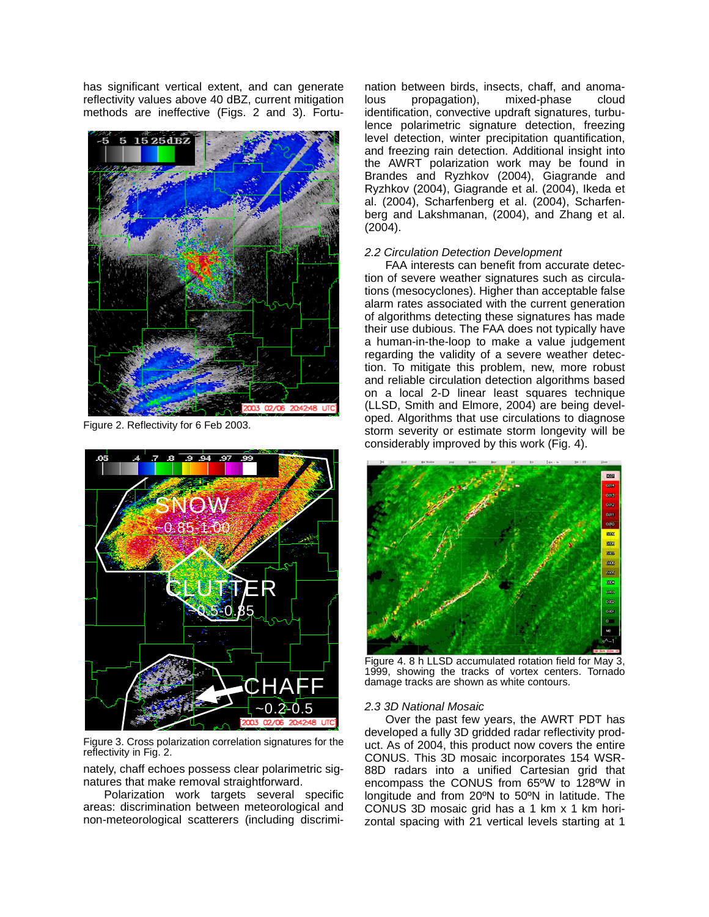has significant vertical extent, and can generate reflectivity values above 40 dBZ, current mitigation methods are ineffective (Figs. 2 and 3). Fortu-



Figure 2. Reflectivity for 6 Feb 2003.



Figure 3. Cross polarization correlation signatures for the reflectivity in Fig. 2.

nately, chaff echoes possess clear polarimetric signatures that make removal straightforward.

Polarization work targets several specific areas: discrimination between meteorological and non-meteorological scatterers (including discrimination between birds, insects, chaff, and anomalous propagation), mixed-phase cloud identification, convective updraft signatures, turbulence polarimetric signature detection, freezing level detection, winter precipitation quantification, and freezing rain detection. Additional insight into the AWRT polarization work may be found in Brandes and Ryzhkov (2004), Giagrande and Ryzhkov (2004), Giagrande et al. (2004), Ikeda et al. (2004), Scharfenberg et al. (2004), Scharfenberg and Lakshmanan, (2004), and Zhang et al. (2004).

### *2.2 Circulation Detection Development*

FAA interests can benefit from accurate detection of severe weather signatures such as circulations (mesocyclones). Higher than acceptable false alarm rates associated with the current generation of algorithms detecting these signatures has made their use dubious. The FAA does not typically have a human-in-the-loop to make a value judgement regarding the validity of a severe weather detection. To mitigate this problem, new, more robust and reliable circulation detection algorithms based on a local 2-D linear least squares technique (LLSD, Smith and Elmore, 2004) are being developed. Algorithms that use circulations to diagnose storm severity or estimate storm longevity will be considerably improved by this work (Fig. 4).



Figure 4. 8 h LLSD accumulated rotation field for May 3, 1999, showing the tracks of vortex centers. Tornado damage tracks are shown as white contours.

#### *2.3 3D National Mosaic*

Over the past few years, the AWRT PDT has developed a fully 3D gridded radar reflectivity product. As of 2004, this product now covers the entire CONUS. This 3D mosaic incorporates 154 WSR-88D radars into a unified Cartesian grid that encompass the CONUS from 65ºW to 128ºW in longitude and from 20ºN to 50ºN in latitude. The CONUS 3D mosaic grid has a 1 km x 1 km horizontal spacing with 21 vertical levels starting at 1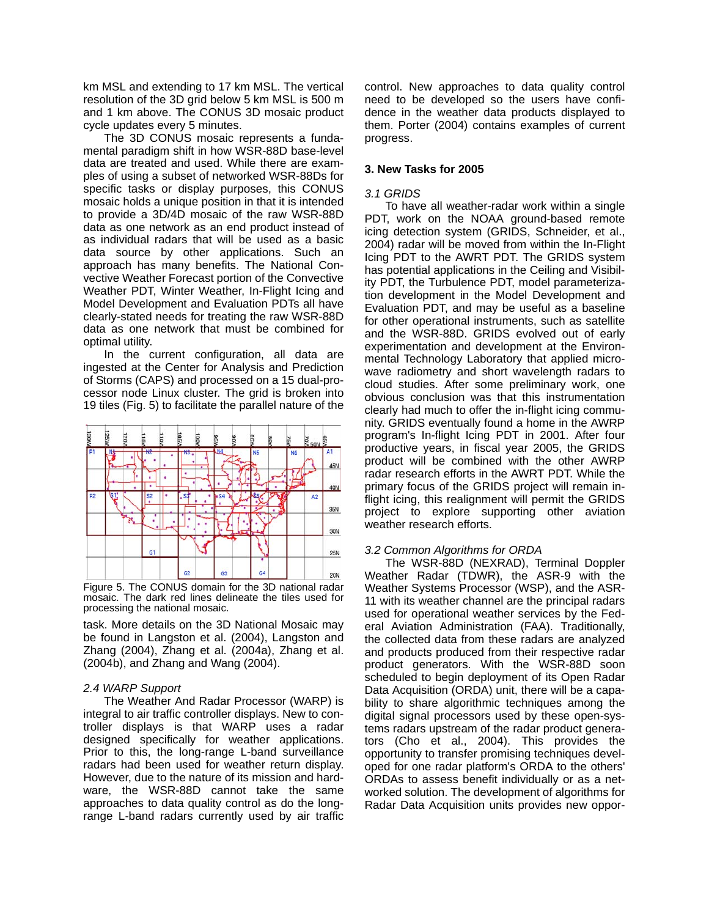km MSL and extending to 17 km MSL. The vertical resolution of the 3D grid below 5 km MSL is 500 m and 1 km above. The CONUS 3D mosaic product cycle updates every 5 minutes.

The 3D CONUS mosaic represents a fundamental paradigm shift in how WSR-88D base-level data are treated and used. While there are examples of using a subset of networked WSR-88Ds for specific tasks or display purposes, this CONUS mosaic holds a unique position in that it is intended to provide a 3D/4D mosaic of the raw WSR-88D data as one network as an end product instead of as individual radars that will be used as a basic data source by other applications. Such an approach has many benefits. The National Convective Weather Forecast portion of the Convective Weather PDT, Winter Weather, In-Flight Icing and Model Development and Evaluation PDTs all have clearly-stated needs for treating the raw WSR-88D data as one network that must be combined for optimal utility.

In the current configuration, all data are ingested at the Center for Analysis and Prediction of Storms (CAPS) and processed on a 15 dual-processor node Linux cluster. The grid is broken into 19 tiles (Fig. 5) to facilitate the parallel nature of the



Figure 5. The CONUS domain for the 3D national radar mosaic. The dark red lines delineate the tiles used for processing the national mosaic.

task. More details on the 3D National Mosaic may be found in Langston et al. (2004), Langston and Zhang (2004), Zhang et al. (2004a), Zhang et al. (2004b), and Zhang and Wang (2004).

#### *2.4 WARP Support*

The Weather And Radar Processor (WARP) is integral to air traffic controller displays. New to controller displays is that WARP uses a radar designed specifically for weather applications. Prior to this, the long-range L-band surveillance radars had been used for weather return display. However, due to the nature of its mission and hardware, the WSR-88D cannot take the same approaches to data quality control as do the longrange L-band radars currently used by air traffic control. New approaches to data quality control need to be developed so the users have confidence in the weather data products displayed to them. Porter (2004) contains examples of current progress.

## **3. New Tasks for 2005**

## *3.1 GRIDS*

To have all weather-radar work within a single PDT, work on the NOAA ground-based remote icing detection system (GRIDS, Schneider, et al., 2004) radar will be moved from within the In-Flight Icing PDT to the AWRT PDT. The GRIDS system has potential applications in the Ceiling and Visibility PDT, the Turbulence PDT, model parameterization development in the Model Development and Evaluation PDT, and may be useful as a baseline for other operational instruments, such as satellite and the WSR-88D. GRIDS evolved out of early experimentation and development at the Environmental Technology Laboratory that applied microwave radiometry and short wavelength radars to cloud studies. After some preliminary work, one obvious conclusion was that this instrumentation clearly had much to offer the in-flight icing community. GRIDS eventually found a home in the AWRP program's In-flight Icing PDT in 2001. After four productive years, in fiscal year 2005, the GRIDS product will be combined with the other AWRP radar research efforts in the AWRT PDT. While the primary focus of the GRIDS project will remain inflight icing, this realignment will permit the GRIDS project to explore supporting other aviation weather research efforts.

## *3.2 Common Algorithms for ORDA*

The WSR-88D (NEXRAD), Terminal Doppler Weather Radar (TDWR), the ASR-9 with the Weather Systems Processor (WSP), and the ASR-11 with its weather channel are the principal radars used for operational weather services by the Federal Aviation Administration (FAA). Traditionally, the collected data from these radars are analyzed and products produced from their respective radar product generators. With the WSR-88D soon scheduled to begin deployment of its Open Radar Data Acquisition (ORDA) unit, there will be a capability to share algorithmic techniques among the digital signal processors used by these open-systems radars upstream of the radar product generators (Cho et al., 2004). This provides the opportunity to transfer promising techniques developed for one radar platform's ORDA to the others' ORDAs to assess benefit individually or as a networked solution. The development of algorithms for Radar Data Acquisition units provides new oppor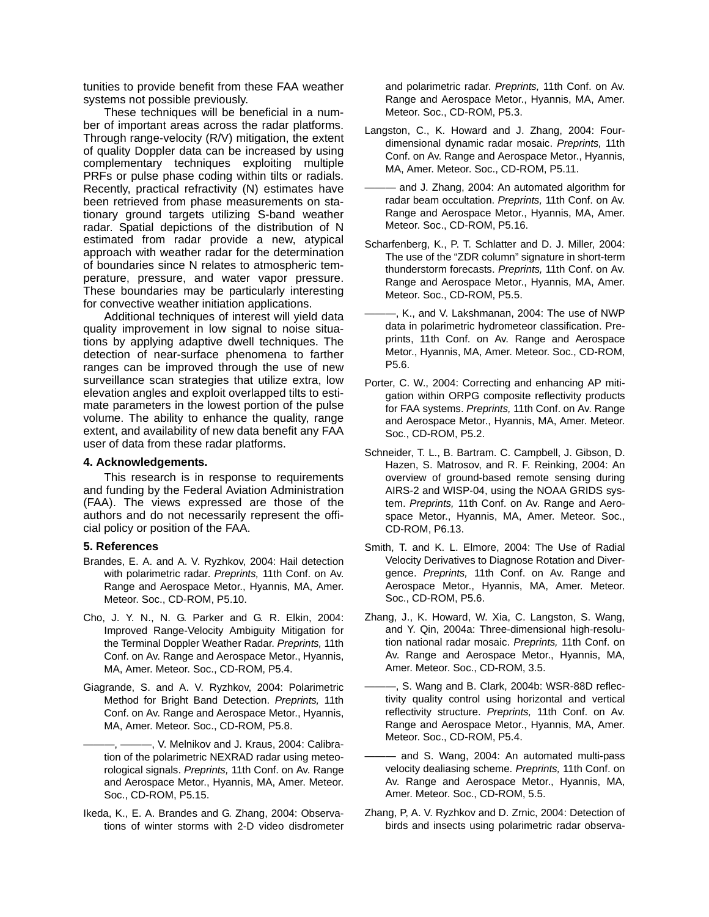tunities to provide benefit from these FAA weather systems not possible previously.

These techniques will be beneficial in a number of important areas across the radar platforms. Through range-velocity (R/V) mitigation, the extent of quality Doppler data can be increased by using complementary techniques exploiting multiple PRFs or pulse phase coding within tilts or radials. Recently, practical refractivity (N) estimates have been retrieved from phase measurements on stationary ground targets utilizing S-band weather radar. Spatial depictions of the distribution of N estimated from radar provide a new, atypical approach with weather radar for the determination of boundaries since N relates to atmospheric temperature, pressure, and water vapor pressure. These boundaries may be particularly interesting for convective weather initiation applications.

Additional techniques of interest will yield data quality improvement in low signal to noise situations by applying adaptive dwell techniques. The detection of near-surface phenomena to farther ranges can be improved through the use of new surveillance scan strategies that utilize extra, low elevation angles and exploit overlapped tilts to estimate parameters in the lowest portion of the pulse volume. The ability to enhance the quality, range extent, and availability of new data benefit any FAA user of data from these radar platforms.

#### **4. Acknowledgements.**

This research is in response to requirements and funding by the Federal Aviation Administration (FAA). The views expressed are those of the authors and do not necessarily represent the official policy or position of the FAA.

#### **5. References**

- Brandes, E. A. and A. V. Ryzhkov, 2004: Hail detection with polarimetric radar. *Preprints,* 11th Conf. on Av. Range and Aerospace Metor., Hyannis, MA, Amer. Meteor. Soc., CD-ROM, P5.10.
- Cho, J. Y. N., N. G. Parker and G. R. Elkin, 2004: Improved Range-Velocity Ambiguity Mitigation for the Terminal Doppler Weather Radar. *Preprints,* 11th Conf. on Av. Range and Aerospace Metor., Hyannis, MA, Amer. Meteor. Soc., CD-ROM, P5.4.
- Giagrande, S. and A. V. Ryzhkov, 2004: Polarimetric Method for Bright Band Detection. *Preprints,* 11th Conf. on Av. Range and Aerospace Metor., Hyannis, MA, Amer. Meteor. Soc., CD-ROM, P5.8.
	- -, V. Melnikov and J. Kraus, 2004: Calibration of the polarimetric NEXRAD radar using meteorological signals. *Preprints,* 11th Conf. on Av. Range and Aerospace Metor., Hyannis, MA, Amer. Meteor. Soc., CD-ROM, P5.15.
- Ikeda, K., E. A. Brandes and G. Zhang, 2004: Observations of winter storms with 2-D video disdrometer

and polarimetric radar. *Preprints,* 11th Conf. on Av. Range and Aerospace Metor., Hyannis, MA, Amer. Meteor. Soc., CD-ROM, P5.3.

- Langston, C., K. Howard and J. Zhang, 2004: Fourdimensional dynamic radar mosaic. *Preprints,* 11th Conf. on Av. Range and Aerospace Metor., Hyannis, MA, Amer. Meteor. Soc., CD-ROM, P5.11.
- and J. Zhang, 2004: An automated algorithm for radar beam occultation. *Preprints,* 11th Conf. on Av. Range and Aerospace Metor., Hyannis, MA, Amer. Meteor. Soc., CD-ROM, P5.16.
- Scharfenberg, K., P. T. Schlatter and D. J. Miller, 2004: The use of the "ZDR column" signature in short-term thunderstorm forecasts. *Preprints,* 11th Conf. on Av. Range and Aerospace Metor., Hyannis, MA, Amer. Meteor. Soc., CD-ROM, P5.5.
- -, K., and V. Lakshmanan, 2004: The use of NWP data in polarimetric hydrometeor classification. Preprints, 11th Conf. on Av. Range and Aerospace Metor., Hyannis, MA, Amer. Meteor. Soc., CD-ROM, P5.6.
- Porter, C. W., 2004: Correcting and enhancing AP mitigation within ORPG composite reflectivity products for FAA systems. *Preprints,* 11th Conf. on Av. Range and Aerospace Metor., Hyannis, MA, Amer. Meteor. Soc., CD-ROM, P5.2.
- Schneider, T. L., B. Bartram. C. Campbell, J. Gibson, D. Hazen, S. Matrosov, and R. F. Reinking, 2004: An overview of ground-based remote sensing during AIRS-2 and WISP-04, using the NOAA GRIDS system. *Preprints,* 11th Conf. on Av. Range and Aerospace Metor., Hyannis, MA, Amer. Meteor. Soc., CD-ROM, P6.13.
- Smith, T. and K. L. Elmore, 2004: The Use of Radial Velocity Derivatives to Diagnose Rotation and Divergence. *Preprints,* 11th Conf. on Av. Range and Aerospace Metor., Hyannis, MA, Amer. Meteor. Soc., CD-ROM, P5.6.
- Zhang, J., K. Howard, W. Xia, C. Langston, S. Wang, and Y. Qin, 2004a: Three-dimensional high-resolution national radar mosaic. *Preprints,* 11th Conf. on Av. Range and Aerospace Metor., Hyannis, MA, Amer. Meteor. Soc., CD-ROM, 3.5.
- -, S. Wang and B. Clark, 2004b: WSR-88D reflectivity quality control using horizontal and vertical reflectivity structure. *Preprints,* 11th Conf. on Av. Range and Aerospace Metor., Hyannis, MA, Amer. Meteor. Soc., CD-ROM, P5.4.
- and S. Wang, 2004: An automated multi-pass velocity dealiasing scheme. *Preprints,* 11th Conf. on Av. Range and Aerospace Metor., Hyannis, MA, Amer. Meteor. Soc., CD-ROM, 5.5.
- Zhang, P, A. V. Ryzhkov and D. Zrnic, 2004: Detection of birds and insects using polarimetric radar observa-